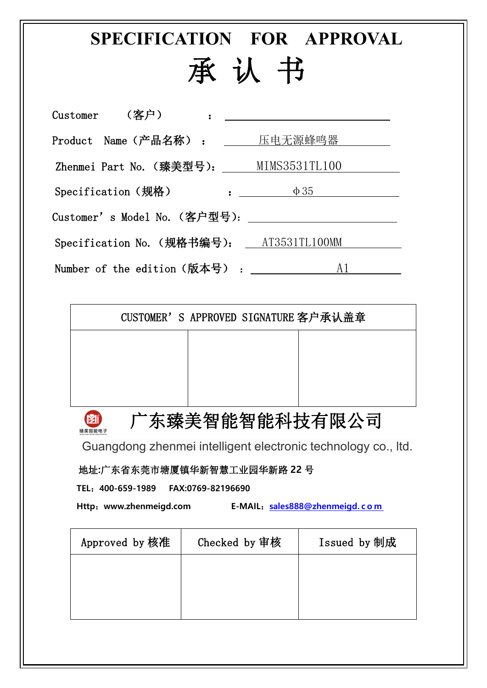**SPECIFICATION FOR APPROVAL**

## 承 认 书

| $Customer$ (客户)    | and the contract of the contract of the contract of the contract of the contract of             |
|--------------------|-------------------------------------------------------------------------------------------------|
|                    | Product Name (产品名称) : 压电无源蜂鸣器                                                                   |
|                    | Zhenmei Part No. (臻美型号): MIMS3531TL100                                                          |
| Specification (规格) | $\mathbf{B}=\mathbf{B}$<br>$\Phi$ 35                                                            |
|                    |                                                                                                 |
|                    | Specification No. (规格书编号): ___AT3531TL100MM                                                     |
|                    | Number of the edition $(\hbox{\uparrow\!\!\!\!\!\! \downarrow \downarrow \uparrow\uparrow) :Al$ |

| CUSTOMER'S APPROVED SIGNATURE 客户承认盖章 |  |
|--------------------------------------|--|
|                                      |  |
|                                      |  |
|                                      |  |
|                                      |  |

广东臻美智能智能科技有限公司

Guangdong zhenmei intelligent electronic technology co., ltd.

地址**:**广东省东莞市塘厦镇华新智慧工业园华新路 **22** 号

**TEL**:**400-659-1989 FAX:0769-82196690**

 $\mathbf{M}^{\dagger}$ 臻美智能电子

**Http**:**www.zhenmeigd.com E-MAIL**:**[sales888@zhenmeigd.](mailto:sales888@zhenmeigd.com) c o m**

| Approved by 核准 | Checked by 审核 | Issued by 制成 |  |
|----------------|---------------|--------------|--|
|                |               |              |  |
|                |               |              |  |
|                |               |              |  |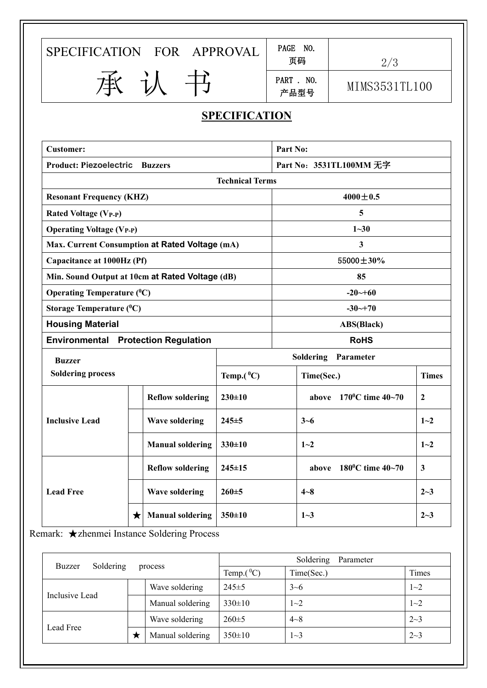SPECIFICATION FOR APPROVAL  $\left|\begin{array}{cc} \text{PAGE} & \text{NO.} \\ \text{F.} & \text{F.} \end{array}\right|$ 

| PAGE NO. |     |
|----------|-----|
| 页码       | 2/3 |

页码 2/3

承认书 PART. NO. PART . NO.

ANI . NO.<br>产品型号 MIMS3531TL100 | |

## **SPECIFICATION**

| <b>Customer:</b>                                |            |                         | Part No:               |                            |                                              |                  |
|-------------------------------------------------|------------|-------------------------|------------------------|----------------------------|----------------------------------------------|------------------|
| <b>Product: Piezoelectric Buzzers</b>           |            |                         |                        |                            | Part No: 3531TL100MM 无字                      |                  |
|                                                 |            |                         | <b>Technical Terms</b> |                            |                                              |                  |
| <b>Resonant Frequency (KHZ)</b>                 |            |                         |                        |                            | $4000 \pm 0.5$                               |                  |
| <b>Rated Voltage (VP-P)</b>                     |            |                         |                        |                            | 5                                            |                  |
| <b>Operating Voltage (VP-P)</b>                 |            |                         |                        |                            | $1 - 30$                                     |                  |
| Max. Current Consumption at Rated Voltage (mA)  |            |                         |                        |                            | 3 <sup>1</sup>                               |                  |
| Capacitance at 1000Hz (Pf)                      |            |                         |                        | 55000±30%                  |                                              |                  |
| Min. Sound Output at 10cm at Rated Voltage (dB) |            |                         |                        |                            | 85                                           |                  |
| <b>Operating Temperature (C)</b>                |            |                         |                        | $-20 - 60$                 |                                              |                  |
| Storage Temperature $(^0C)$                     |            |                         |                        | $-30 - +70$                |                                              |                  |
| <b>Housing Material</b>                         |            |                         |                        |                            | <b>ABS(Black)</b>                            |                  |
| <b>Environmental Protection Regulation</b>      |            |                         |                        |                            | <b>RoHS</b>                                  |                  |
| <b>Buzzer</b>                                   |            |                         |                        | <b>Soldering Parameter</b> |                                              |                  |
| <b>Soldering process</b>                        |            |                         | Temp. $(^0C)$          | Time(Sec.)                 |                                              | <b>Times</b>     |
| <b>Inclusive Lead</b>                           |            | <b>Reflow soldering</b> | $230 \pm 10$           |                            | above $170^{\circ}$ C time $40 - 70^{\circ}$ | $\boldsymbol{2}$ |
|                                                 |            | <b>Wave soldering</b>   | $245 + 5$              |                            | $3 - 6$                                      | $1 - 2$          |
|                                                 |            | <b>Manual soldering</b> | $330 \pm 10$           |                            | $1 - 2$                                      | $1 - 2$          |
| <b>Lead Free</b>                                |            | <b>Reflow soldering</b> | $245 \pm 15$           |                            | $180^{\circ}$ C time 40~70<br>above          | $\mathbf{3}$     |
|                                                 |            | <b>Wave soldering</b>   | $260 + 5$              |                            | $4 - 8$                                      | $2 - 3$          |
|                                                 | $\bigstar$ | <b>Manual soldering</b> | $350 \pm 10$           |                            | $1 - 3$                                      | $2 - 3$          |

Remark: ★zhenmei Instance Soldering Process

|                     |         |                  |               | Soldering<br>Parameter |         |
|---------------------|---------|------------------|---------------|------------------------|---------|
| Soldering<br>Buzzer | process |                  | Temp. $(^0C)$ | Time(Sec.)             | Times   |
| Inclusive Lead      |         | Wave soldering   | $245 \pm 5$   | $3 - 6$                | $1 - 2$ |
|                     |         | Manual soldering | $330 \pm 10$  | $1 - 2$                | $1 - 2$ |
|                     |         | Wave soldering   | $260 \pm 5$   | $4 - 8$                | $2 - 3$ |
| Lead Free           | м       | Manual soldering | $350 \pm 10$  | 1~2~                   | $2 - 3$ |